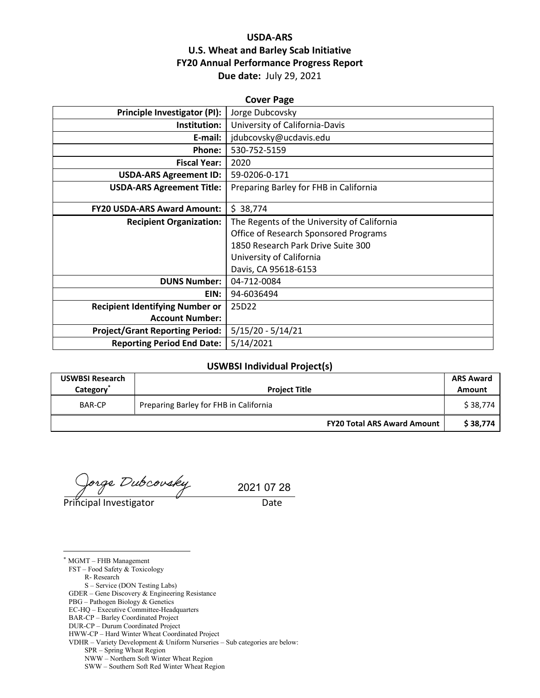## **USDA-ARS U.S. Wheat and Barley Scab Initiative FY20 Annual Performance Progress Report Due date:** July 29, 2021

| <b>Cover Page</b>                      |                                             |  |  |  |
|----------------------------------------|---------------------------------------------|--|--|--|
| <b>Principle Investigator (PI):</b>    | Jorge Dubcovsky                             |  |  |  |
| Institution:                           | University of California-Davis              |  |  |  |
| E-mail:                                | jdubcovsky@ucdavis.edu                      |  |  |  |
| Phone:                                 | 530-752-5159                                |  |  |  |
| <b>Fiscal Year:</b>                    | 2020                                        |  |  |  |
| <b>USDA-ARS Agreement ID:</b>          | 59-0206-0-171                               |  |  |  |
| <b>USDA-ARS Agreement Title:</b>       | Preparing Barley for FHB in California      |  |  |  |
|                                        |                                             |  |  |  |
| <b>FY20 USDA-ARS Award Amount:</b>     | \$38,774                                    |  |  |  |
| <b>Recipient Organization:</b>         | The Regents of the University of California |  |  |  |
|                                        | Office of Research Sponsored Programs       |  |  |  |
|                                        | 1850 Research Park Drive Suite 300          |  |  |  |
|                                        | University of California                    |  |  |  |
|                                        | Davis, CA 95618-6153                        |  |  |  |
| <b>DUNS Number:</b>                    | 04-712-0084                                 |  |  |  |
| EIN:                                   | 94-6036494                                  |  |  |  |
| <b>Recipient Identifying Number or</b> | 25D22                                       |  |  |  |
| <b>Account Number:</b>                 |                                             |  |  |  |
| <b>Project/Grant Reporting Period:</b> | $5/15/20 - 5/14/21$                         |  |  |  |
| <b>Reporting Period End Date:</b>      | 5/14/2021                                   |  |  |  |

#### **USWBSI Individual Project(s)**

| <b>USWBSI Research</b><br>Category <sup>®</sup> | <b>Project Title</b>                   |                                    | <b>ARS Award</b><br>Amount |
|-------------------------------------------------|----------------------------------------|------------------------------------|----------------------------|
| BAR-CP                                          | Preparing Barley for FHB in California |                                    | \$38,774                   |
|                                                 |                                        | <b>FY20 Total ARS Award Amount</b> | \$38,774                   |

orge Dubcovsky

Principal Investigator **Date** 

 $\overline{a}$ 

2021 07 28

\* MGMT – FHB Management FST – Food Safety & Toxicology R- Research S – Service (DON Testing Labs) GDER – Gene Discovery & Engineering Resistance PBG – Pathogen Biology & Genetics EC-HQ – Executive Committee-Headquarters BAR-CP – Barley Coordinated Project DUR-CP – Durum Coordinated Project HWW-CP – Hard Winter Wheat Coordinated Project VDHR – Variety Development & Uniform Nurseries – Sub categories are below: SPR – Spring Wheat Region NWW – Northern Soft Winter Wheat Region

SWW – Southern Soft Red Winter Wheat Region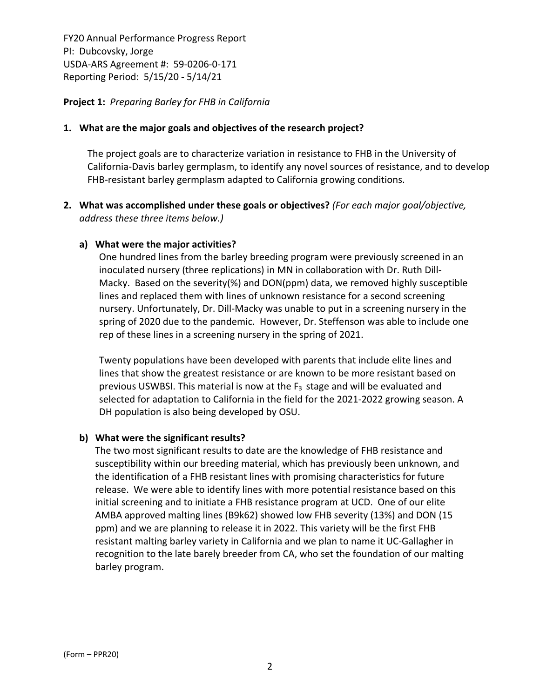**Project 1:** *Preparing Barley for FHB in California*

## **1. What are the major goals and objectives of the research project?**

The project goals are to characterize variation in resistance to FHB in the University of California‐Davis barley germplasm, to identify any novel sources of resistance, and to develop FHB-resistant barley germplasm adapted to California growing conditions.

**2. What was accomplished under these goals or objectives?** *(For each major goal/objective, address these three items below.)*

## **a) What were the major activities?**

One hundred lines from the barley breeding program were previously screened in an inoculated nursery (three replications) in MN in collaboration with Dr. Ruth Dill‐ Macky. Based on the severity(%) and DON(ppm) data, we removed highly susceptible lines and replaced them with lines of unknown resistance for a second screening nursery. Unfortunately, Dr. Dill‐Macky was unable to put in a screening nursery in the spring of 2020 due to the pandemic. However, Dr. Steffenson was able to include one rep of these lines in a screening nursery in the spring of 2021.

Twenty populations have been developed with parents that include elite lines and lines that show the greatest resistance or are known to be more resistant based on previous USWBSI. This material is now at the  $F_3$  stage and will be evaluated and selected for adaptation to California in the field for the 2021‐2022 growing season. A DH population is also being developed by OSU.

## **b) What were the significant results?**

The two most significant results to date are the knowledge of FHB resistance and susceptibility within our breeding material, which has previously been unknown, and the identification of a FHB resistant lines with promising characteristics for future release. We were able to identify lines with more potential resistance based on this initial screening and to initiate a FHB resistance program at UCD. One of our elite AMBA approved malting lines (B9k62) showed low FHB severity (13%) and DON (15 ppm) and we are planning to release it in 2022. This variety will be the first FHB resistant malting barley variety in California and we plan to name it UC‐Gallagher in recognition to the late barely breeder from CA, who set the foundation of our malting barley program.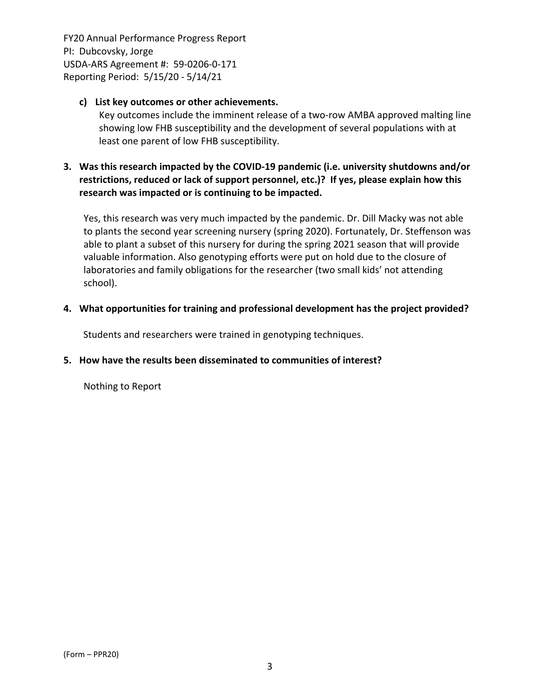## **c) List key outcomes or other achievements.**

Key outcomes include the imminent release of a two-row AMBA approved malting line showing low FHB susceptibility and the development of several populations with at least one parent of low FHB susceptibility.

## **3. Was this research impacted by the COVID‐19 pandemic (i.e. university shutdowns and/or restrictions, reduced or lack of support personnel, etc.)? If yes, please explain how this research was impacted or is continuing to be impacted.**

Yes, this research was very much impacted by the pandemic. Dr. Dill Macky was not able to plants the second year screening nursery (spring 2020). Fortunately, Dr. Steffenson was able to plant a subset of this nursery for during the spring 2021 season that will provide valuable information. Also genotyping efforts were put on hold due to the closure of laboratories and family obligations for the researcher (two small kids' not attending school).

## **4. What opportunities for training and professional development has the project provided?**

Students and researchers were trained in genotyping techniques.

#### **5. How have the results been disseminated to communities of interest?**

Nothing to Report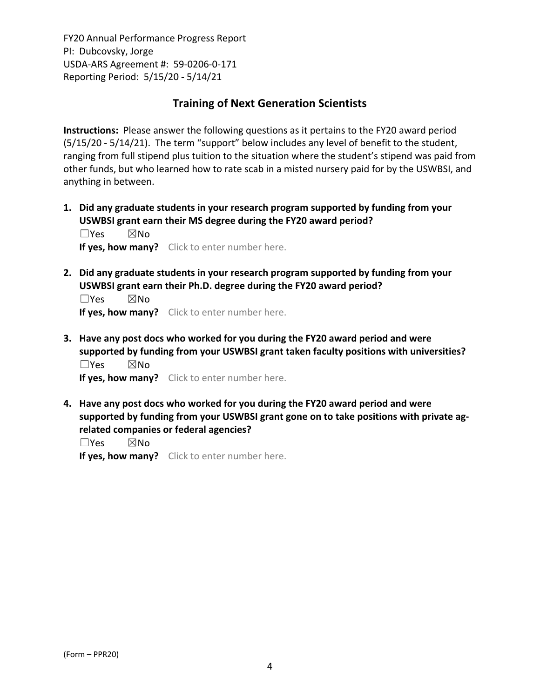# **Training of Next Generation Scientists**

**Instructions:** Please answer the following questions as it pertains to the FY20 award period (5/15/20 ‐ 5/14/21). The term "support" below includes any level of benefit to the student, ranging from full stipend plus tuition to the situation where the student's stipend was paid from other funds, but who learned how to rate scab in a misted nursery paid for by the USWBSI, and anything in between.

**1. Did any graduate students in your research program supported by funding from your USWBSI grant earn their MS degree during the FY20 award period?** ☐Yes ☒No

**If yes, how many?** Click to enter number here.

**2. Did any graduate students in your research program supported by funding from your USWBSI grant earn their Ph.D. degree during the FY20 award period?**

☐Yes ☒No **If yes, how many?** Click to enter number here.

**3. Have any post docs who worked for you during the FY20 award period and were supported by funding from your USWBSI grant taken faculty positions with universities?** ☐Yes ☒No

**If yes, how many?** Click to enter number here.

**4. Have any post docs who worked for you during the FY20 award period and were supported by funding from your USWBSI grant gone on to take positions with private ag‐ related companies or federal agencies?**

☐Yes ☒No

**If yes, how many?** Click to enter number here.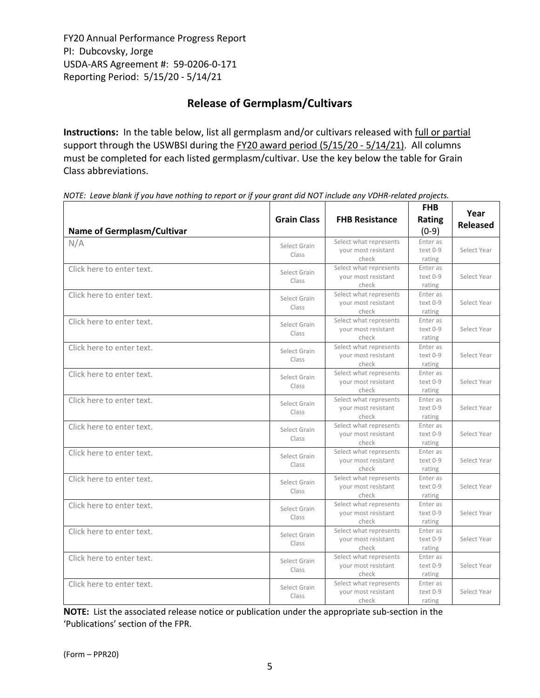# **Release of Germplasm/Cultivars**

**Instructions:** In the table below, list all germplasm and/or cultivars released with full or partial support through the USWBSI during the FY20 award period (5/15/20 - 5/14/21). All columns must be completed for each listed germplasm/cultivar. Use the key below the table for Grain Class abbreviations. 

| <b>Name of Germplasm/Cultivar</b> | <b>Grain Class</b>    | <b>FHB Resistance</b>                                  | <b>FHB</b><br>Rating<br>$(0-9)$ | Year<br><b>Released</b> |
|-----------------------------------|-----------------------|--------------------------------------------------------|---------------------------------|-------------------------|
| N/A                               | Select Grain<br>Class | Select what represents<br>your most resistant<br>check | Enter as<br>text 0-9<br>rating  | Select Year             |
| Click here to enter text.         | Select Grain<br>Class | Select what represents<br>your most resistant<br>check | Enter as<br>text 0-9<br>rating  | Select Year             |
| Click here to enter text.         | Select Grain<br>Class | Select what represents<br>your most resistant<br>check | Enter as<br>text 0-9<br>rating  | Select Year             |
| Click here to enter text.         | Select Grain<br>Class | Select what represents<br>your most resistant<br>check | Enter as<br>text 0-9<br>rating  | Select Year             |
| Click here to enter text.         | Select Grain<br>Class | Select what represents<br>your most resistant<br>check | Enter as<br>text 0-9<br>rating  | Select Year             |
| Click here to enter text.         | Select Grain<br>Class | Select what represents<br>your most resistant<br>check | Enter as<br>text 0-9<br>rating  | Select Year             |
| Click here to enter text.         | Select Grain<br>Class | Select what represents<br>your most resistant<br>check | Enter as<br>text 0-9<br>rating  | Select Year             |
| Click here to enter text.         | Select Grain<br>Class | Select what represents<br>your most resistant<br>check | Enter as<br>text 0-9<br>rating  | Select Year             |
| Click here to enter text.         | Select Grain<br>Class | Select what represents<br>your most resistant<br>check | Enter as<br>text 0-9<br>rating  | Select Year             |
| Click here to enter text.         | Select Grain<br>Class | Select what represents<br>your most resistant<br>check | Enter as<br>text 0-9<br>rating  | Select Year             |
| Click here to enter text.         | Select Grain<br>Class | Select what represents<br>your most resistant<br>check | Enter as<br>text 0-9<br>rating  | Select Year             |
| Click here to enter text.         | Select Grain<br>Class | Select what represents<br>your most resistant<br>check | Enter as<br>text 0-9<br>rating  | Select Year             |
| Click here to enter text.         | Select Grain<br>Class | Select what represents<br>your most resistant<br>check | Enter as<br>text 0-9<br>rating  | Select Year             |
| Click here to enter text.         | Select Grain<br>Class | Select what represents<br>your most resistant<br>check | Enter as<br>text 0-9<br>rating  | Select Year             |

NOTE: Leave blank if you have nothing to report or if your grant did NOT include any VDHR-related projects.

**NOTE:** List the associated release notice or publication under the appropriate sub-section in the 'Publications' section of the FPR.